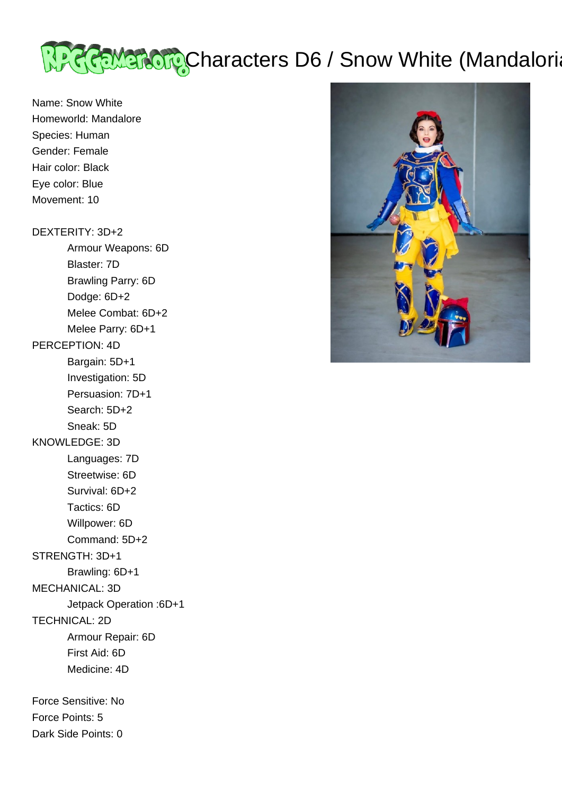

Name: Snow White Homeworld: Mandalore Species: Human Gender: Female Hair color: Black Eye color: Blue Movement: 10

#### DEXTERITY: 3D+2

 Armour Weapons: 6D Blaster: 7D

Brawling Parry: 6D

Dodge: 6D+2

Melee Combat: 6D+2

Melee Parry: 6D+1

# PERCEPTION: 4D

 Bargain: 5D+1 Investigation: 5D

Persuasion: 7D+1

 Search: 5D+2 Sneak: 5D

## KNOWLEDGE: 3D

Languages: 7D

 Streetwise: 6D Survival: 6D+2

Tactics: 6D

Willpower: 6D

Command: 5D+2

## STRENGTH: 3D+1

Brawling: 6D+1

MECHANICAL: 3D

Jetpack Operation :6D+1

TECHNICAL: 2D

Armour Repair: 6D

First Aid: 6D

Medicine: 4D

Force Sensitive: No Force Points: 5 Dark Side Points: 0